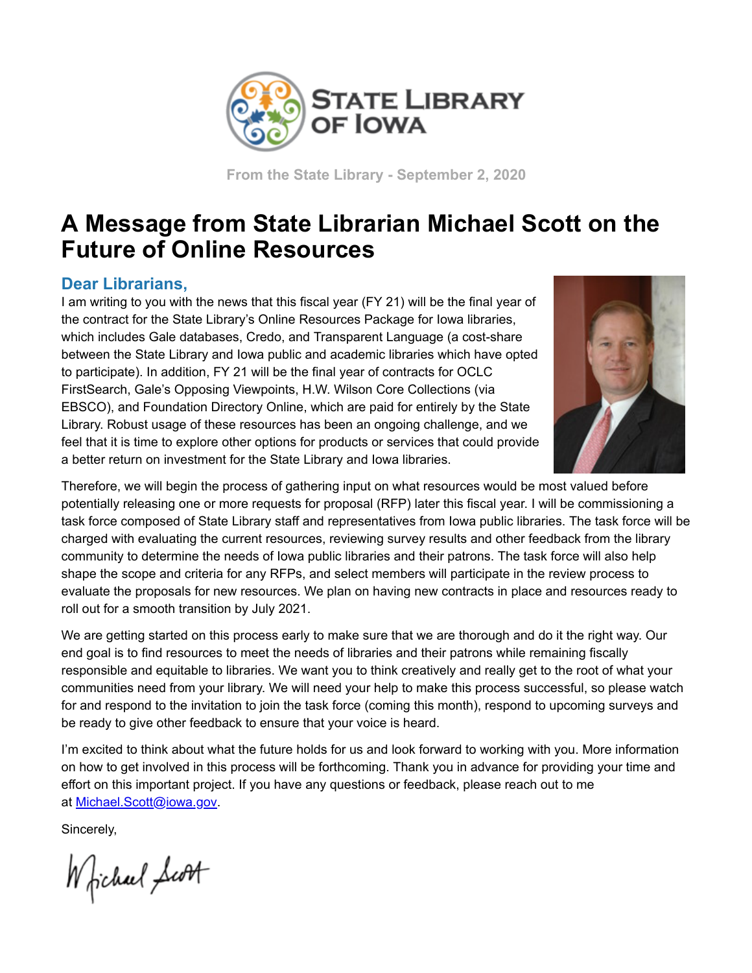

**From the State Library - September 2, 2020**

## **A Message from State Librarian Michael Scott on the Future of Online Resources**

## **Dear Librarians,**

I am writing to you with the news that this fiscal year (FY 21) will be the final year of the contract for the State Library's Online Resources Package for Iowa libraries, which includes Gale databases, Credo, and Transparent Language (a cost-share between the State Library and Iowa public and academic libraries which have opted to participate). In addition, FY 21 will be the final year of contracts for OCLC FirstSearch, Gale's Opposing Viewpoints, H.W. Wilson Core Collections (via EBSCO), and Foundation Directory Online, which are paid for entirely by the State Library. Robust usage of these resources has been an ongoing challenge, and we feel that it is time to explore other options for products or services that could provide a better return on investment for the State Library and Iowa libraries.



Therefore, we will begin the process of gathering input on what resources would be most valued before potentially releasing one or more requests for proposal (RFP) later this fiscal year. I will be commissioning a task force composed of State Library staff and representatives from Iowa public libraries. The task force will be charged with evaluating the current resources, reviewing survey results and other feedback from the library community to determine the needs of Iowa public libraries and their patrons. The task force will also help shape the scope and criteria for any RFPs, and select members will participate in the review process to evaluate the proposals for new resources. We plan on having new contracts in place and resources ready to roll out for a smooth transition by July 2021.

We are getting started on this process early to make sure that we are thorough and do it the right way. Our end goal is to find resources to meet the needs of libraries and their patrons while remaining fiscally responsible and equitable to libraries. We want you to think creatively and really get to the root of what your communities need from your library. We will need your help to make this process successful, so please watch for and respond to the invitation to join the task force (coming this month), respond to upcoming surveys and be ready to give other feedback to ensure that your voice is heard.

I'm excited to think about what the future holds for us and look forward to working with you. More information on how to get involved in this process will be forthcoming. Thank you in advance for providing your time and effort on this important project. If you have any questions or feedback, please reach out to me at [Michael.Scott@iowa.gov.](mailto:Michael.Scott@iowa.gov)

Sincerely,

Whichael Scott